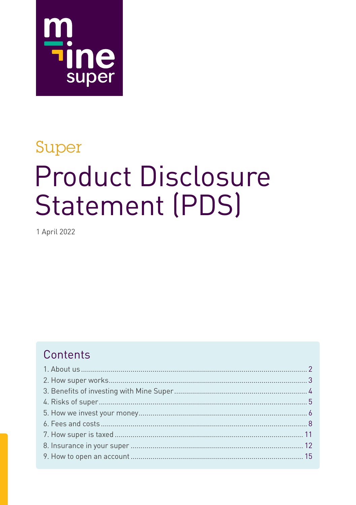

# Super **Product Disclosure Statement (PDS)**

1 April 2022

# Contents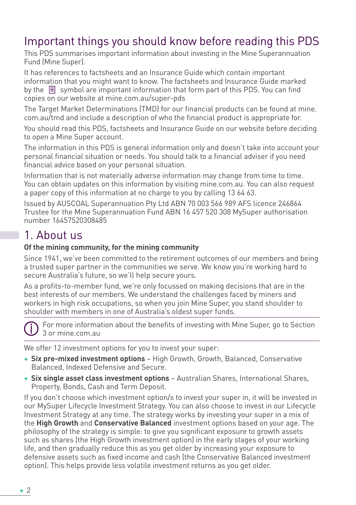# Important things you should know before reading this PDS

This PDS summarises important information about investing in the Mine Superannuation Fund (Mine Super).

It has references to factsheets and an Insurance Guide which contain important information that you might want to know. The factsheets and Insurance Guide marked by the  $\equiv$  symbol are important information that form part of this PDS. You can find copies on our website at mine.com.au/super-pds

The Target Market Determinations (TMD) for our financial products can be found at mine. com.au/tmd and include a description of who the financial product is appropriate for.

You should read this PDS, factsheets and Insurance Guide on our website before deciding to open a Mine Super account.

The information in this PDS is general information only and doesn't take into account your personal financial situation or needs. You should talk to a financial adviser if you need financial advice based on your personal situation.

Information that is not materially adverse information may change from time to time. You can obtain updates on this information by visiting mine.com.au. You can also request a paper copy of this information at no charge to you by calling 13 64 63.

Issued by AUSCOAL Superannuation Pty Ltd ABN 70 003 566 989 AFS licence 246864 Trustee for the Mine Superannuation Fund ABN 16 457 520 308 MySuper authorisation number 16457520308485

# 1. About us

#### **Of the mining community, for the mining community**

Since 1941, we've been committed to the retirement outcomes of our members and being a trusted super partner in the communities we serve. We know you're working hard to secure Australia's future, so we'll help secure yours.

As a profits-to-member fund, we're only focussed on making decisions that are in the best interests of our members. We understand the challenges faced by miners and workers in high risk occupations, so when you join Mine Super, you stand shoulder to shoulder with members in one of Australia's oldest super funds.



 For more information about the benefits of investing with Mine Super, go to Section 3 or mine.com.au

We offer 12 investment options for you to invest your super:

- + **Six pre-mixed investment options** High Growth, Growth, Balanced, Conservative Balanced, Indexed Defensive and Secure.
- + **Six single asset class investment options** Australian Shares, International Shares, Property, Bonds, Cash and Term Deposit.

If you don't choose which investment option/s to invest your super in, it will be invested in our MySuper Lifecycle Investment Strategy. You can also choose to invest in our Lifecycle Investment Strategy at any time. The strategy works by investing your super in a mix of the **High Growth** and **Conservative Balanced** investment options based on your age. The philosophy of the strategy is simple: to give you significant exposure to growth assets such as shares (the High Growth investment option) in the early stages of your working life, and then gradually reduce this as you get older by increasing your exposure to defensive assets such as fixed income and cash (the Conservative Balanced investment option). This helps provide less volatile investment returns as you get older.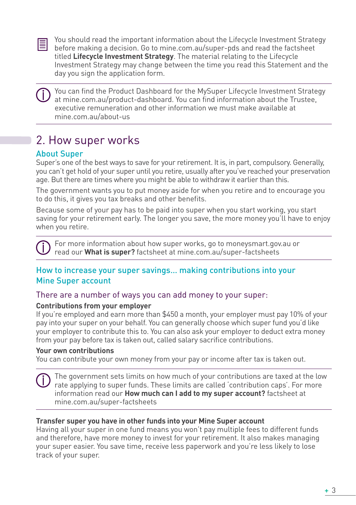

You should read the important information about the Lifecycle Investment Strategy before making a decision. Go to mine.com.au/super-pds and read the factsheet titled **Lifecycle Investment Strategy**. The material relating to the Lifecycle Investment Strategy may change between the time you read this Statement and the day you sign the application form.

 You can find the Product Dashboard for the MySuper Lifecycle Investment Strategy at mine.com.au/product-dashboard. You can find information about the Trustee, executive remuneration and other information we must make available at mine.com.au/about-us

# 2. How super works

## About Super

Super's one of the best ways to save for your retirement. It is, in part, compulsory. Generally, you can't get hold of your super until you retire, usually after you've reached your preservation age. But there are times where you might be able to withdraw it earlier than this.

The government wants you to put money aside for when you retire and to encourage you to do this, it gives you tax breaks and other benefits.

Because some of your pay has to be paid into super when you start working, you start saving for your retirement early. The longer you save, the more money you'll have to enjoy when you retire.

 For more information about how super works, go to moneysmart.gov.au or read our **What is super?** factsheet at mine.com.au/super-factsheets

### How to increase your super savings… making contributions into your Mine Super account

#### There are a number of ways you can add money to your super:

#### **Contributions from your employer**

If you're employed and earn more than \$450 a month, your employer must pay 10% of your pay into your super on your behalf. You can generally choose which super fund you'd like your employer to contribute this to. You can also ask your employer to deduct extra money from your pay before tax is taken out, called salary sacrifice contributions.

#### **Your own contributions**

You can contribute your own money from your pay or income after tax is taken out.

 The government sets limits on how much of your contributions are taxed at the low rate applying to super funds. These limits are called 'contribution caps'. For more information read our **How much can I add to my super account?** factsheet at mine.com.au/super-factsheets

#### **Transfer super you have in other funds into your Mine Super account**

Having all your super in one fund means you won't pay multiple fees to different funds and therefore, have more money to invest for your retirement. It also makes managing your super easier. You save time, receive less paperwork and you're less likely to lose track of your super.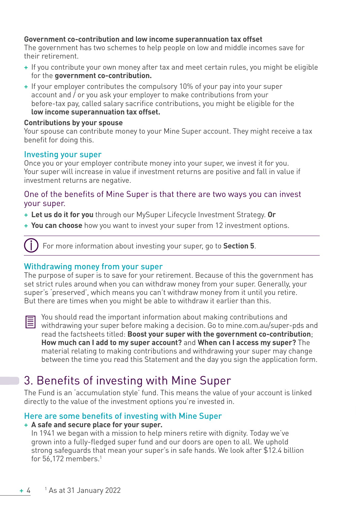#### **Government co-contribution and low income superannuation tax offset**

The government has two schemes to help people on low and middle incomes save for their retirement.

- + If you contribute your own money after tax and meet certain rules, you might be eligible for the **government co-contribution.**
- + If your employer contributes the compulsory 10% of your pay into your super account and / or you ask your employer to make contributions from your before-tax pay, called salary sacrifice contributions, you might be eligible for the **low income superannuation tax offset.**

#### **Contributions by your spouse**

Your spouse can contribute money to your Mine Super account. They might receive a tax benefit for doing this.

#### Investing your super

Once you or your employer contribute money into your super, we invest it for you. Your super will increase in value if investment returns are positive and fall in value if investment returns are negative.

#### One of the benefits of Mine Super is that there are two ways you can invest your super.

- + **Let us do it for you** through our MySuper Lifecycle Investment Strategy. **Or**
- + **You can choose** how you want to invest your super from 12 investment options.

For more information about investing your super, go to **Section 5**.

#### Withdrawing money from your super

The purpose of super is to save for your retirement. Because of this the government has set strict rules around when you can withdraw money from your super. Generally, your super's 'preserved', which means you can't withdraw money from it until you retire. But there are times when you might be able to withdraw it earlier than this.



You should read the important information about making contributions and Withdrawing your super before making a decision. Go to mine.com.au/super-pds and read the factsheets titled: **Boost your super with the government co-contribution**; **How much can I add to my super account?** and **When can I access my super?** The material relating to making contributions and withdrawing your super may change between the time you read this Statement and the day you sign the application form.

# 3. Benefits of investing with Mine Super

The Fund is an 'accumulation style' fund. This means the value of your account is linked directly to the value of the investment options you're invested in.

#### Here are some benefits of investing with Mine Super

#### + **A safe and secure place for your super.**

In 1941 we began with a mission to help miners retire with dignity. Today we've grown into a fully-fledged super fund and our doors are open to all. We uphold strong safeguards that mean your super's in safe hands. We look after \$12.4 billion for 56,172 members.1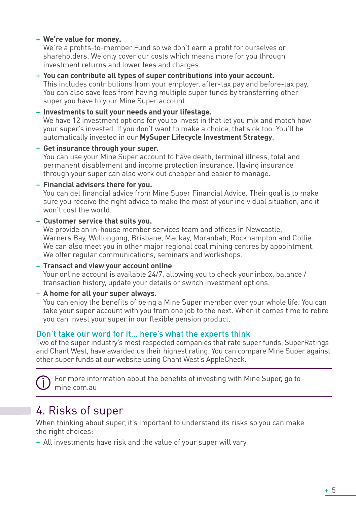#### + **We're value for money.**

We're a profits-to-member Fund so we don't earn a profit for ourselves or shareholders. We only cover our costs which means more for you through investment returns and lower fees and charges.

#### + **You can contribute all types of super contributions into your account.** This includes contributions from your employer, after-tax pay and before-tax pay. You can also save fees from having multiple super funds by transferring other super you have to your Mine Super account.

#### + **Investments to suit your needs and your lifestage.** We have 12 investment options for you to invest in that let you mix and match how your super's invested. If you don't want to make a choice, that's ok too. You'll be automatically invested in our **MySuper Lifecycle Investment Strategy**.

#### + **Get insurance through your super.**

You can use your Mine Super account to have death, terminal illness, total and permanent disablement and income protection insurance. Having insurance through your super can also work out cheaper and easier to manage.

#### + **Financial advisers there for you.**

You can get financial advice from Mine Super Financial Advice. Their goal is to make sure you receive the right advice to make the most of your individual situation, and it won't cost the world.

#### + **Customer service that suits you.**

We provide an in-house member services team and offices in Newcastle, Warners Bay, Wollongong, Brisbane, Mackay, Moranbah, Rockhampton and Collie. We can also meet you in other major regional coal mining centres by appointment. We offer regular communications, seminars and workshops.

#### + **Transact and view your account online**

Your online account is available 24/7, allowing you to check your inbox, balance / transaction history, update your details or switch investment options.

#### + **A home for all your super always.**

You can enjoy the benefits of being a Mine Super member over your whole life. You can take your super account with you from one job to the next. When it comes time to retire you can invest your super in our flexible pension product.

#### Don't take our word for it… here's what the experts think

Two of the super industry's most respected companies that rate super funds, SuperRatings and Chant West, have awarded us their highest rating. You can compare Mine Super against other super funds at our website using Chant West's AppleCheck.

 For more information about the benefits of investing with Mine Super, go to mine.com.au

# 4. Risks of super

When thinking about super, it's important to understand its risks so you can make the right choices:

+ All investments have risk and the value of your super will vary.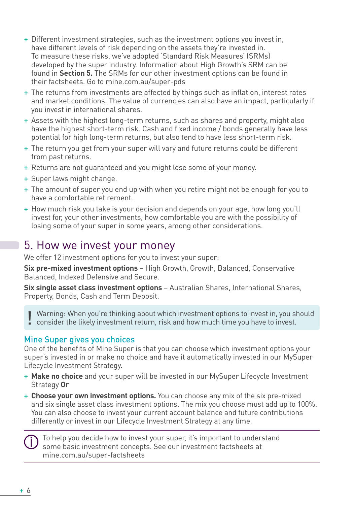- + Different investment strategies, such as the investment options you invest in, have different levels of risk depending on the assets they're invested in. To measure these risks, we've adopted 'Standard Risk Measures' (SRMs) developed by the super industry. Information about High Growth's SRM can be found in **Section 5.** The SRMs for our other investment options can be found in their factsheets. Go to mine.com.au/super-pds
- + The returns from investments are affected by things such as inflation, interest rates and market conditions. The value of currencies can also have an impact, particularly if you invest in international shares.
- + Assets with the highest long-term returns, such as shares and property, might also have the highest short-term risk. Cash and fixed income / bonds generally have less potential for high long-term returns, but also tend to have less short-term risk.
- + The return you get from your super will vary and future returns could be different from past returns.
- + Returns are not guaranteed and you might lose some of your money.
- + Super laws might change.
- + The amount of super you end up with when you retire might not be enough for you to have a comfortable retirement.
- + How much risk you take is your decision and depends on your age, how long you'll invest for, your other investments, how comfortable you are with the possibility of losing some of your super in some years, among other considerations.

# 5. How we invest your money

We offer 12 investment options for you to invest your super:

**Six pre-mixed investment options** – High Growth, Growth, Balanced, Conservative Balanced, Indexed Defensive and Secure.

**Six single asset class investment options** – Australian Shares, International Shares, Property, Bonds, Cash and Term Deposit.

Warning: When you're thinking about which investment options to invest in, you should **.** consider the likely investment return, risk and how much time you have to invest.

#### Mine Super gives you choices

One of the benefits of Mine Super is that you can choose which investment options your super's invested in or make no choice and have it automatically invested in our MySuper Lifecycle Investment Strategy.

- + **Make no choice** and your super will be invested in our MySuper Lifecycle Investment Strategy **Or**
- + **Choose your own investment options.** You can choose any mix of the six pre-mixed and six single asset class investment options. The mix you choose must add up to 100%. You can also choose to invest your current account balance and future contributions differently or invest in our Lifecycle Investment Strategy at any time.

 To help you decide how to invest your super, it's important to understand some basic investment concepts. See our investment factsheets at mine.com.au/super-factsheets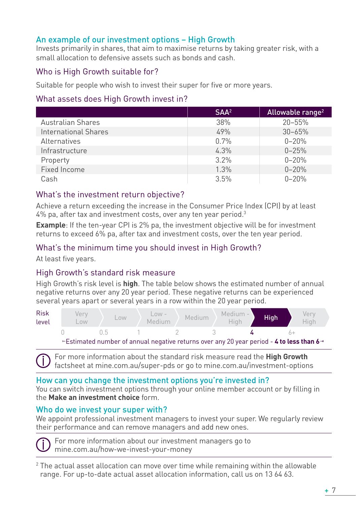### An example of our investment options – High Growth

Invests primarily in shares, that aim to maximise returns by taking greater risk, with a small allocation to defensive assets such as bonds and cash.

#### Who is High Growth suitable for?

Suitable for people who wish to invest their super for five or more years.

#### What assets does High Growth invest in?

|                          | SAA <sup>2</sup> | Allowable range <sup>2</sup> |
|--------------------------|------------------|------------------------------|
| <b>Australian Shares</b> | 38%              | $20 - 55%$                   |
| International Shares     | 49%              | $30 - 65%$                   |
| Alternatives             | 0.7%             | $0 - 20%$                    |
| Infrastructure           | 4.3%             | $0 - 25%$                    |
| Property                 | 3.2%             | $0 - 20%$                    |
| Fixed Income             | 1.3%             | $0 - 20%$                    |
| Cash                     | 3.5%             | $0 - 20%$                    |

#### What's the investment return objective?

Achieve a return exceeding the increase in the Consumer Price Index (CPI) by at least 4% pa, after tax and investment costs, over any ten year period. $^3$ 

**Example**: If the ten-year CPI is 2% pa, the investment objective will be for investment returns to exceed 6% pa, after tax and investment costs, over the ten year period.

#### What's the minimum time you should invest in High Growth?

At least five years.

#### High Growth's standard risk measure

High Growth's risk level is **high**. The table below shows the estimated number of annual negative returns over any 20 year period. These negative returns can be experienced several years apart or several years in a row within the 20 year period.



 For more information about the standard risk measure read the **High Growth** factsheet at mine.com.au/super-pds or go to mine.com.au/investment-options

#### How can you change the investment options you're invested in?

You can switch investment options through your online member account or by filling in the **Make an investment choice** form.

#### Who do we invest your super with?

We appoint professional investment managers to invest your super. We regularly review their performance and can remove managers and add new ones.

 For more information about our investment managers go to mine.com.au/how-we-invest-your-money

 $2$  The actual asset allocation can move over time while remaining within the allowable range. For up-to-date actual asset allocation information, call us on 13 64 63.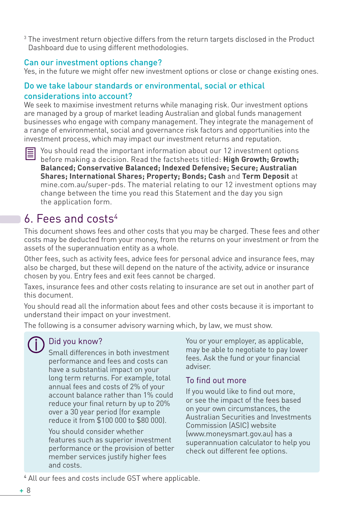<sup>3</sup> The investment return objective differs from the return targets disclosed in the Product Dashboard due to using different methodologies.

#### Can our investment options change?

Yes, in the future we might offer new investment options or close or change existing ones.

#### Do we take labour standards or environmental, social or ethical considerations into account?

We seek to maximise investment returns while managing risk. Our investment options are managed by a group of market leading Australian and global funds management businesses who engage with company management. They integrate the management of a range of environmental, social and governance risk factors and opportunities into the investment process, which may impact our investment returns and reputation.

You should read the important information about our 12 investment options before making a decision. Read the factsheets titled: **High Growth; Growth; Balanced; Conservative Balanced; Indexed Defensive; Secure; Australian Shares; International Shares; Property; Bonds; Cash** and **Term Deposit** at mine.com.au/super-pds. The material relating to our 12 investment options may change between the time you read this Statement and the day you sign the application form.

# 6. Fees and costs4

This document shows fees and other costs that you may be charged. These fees and other costs may be deducted from your money, from the returns on your investment or from the assets of the superannuation entity as a whole.

Other fees, such as activity fees, advice fees for personal advice and insurance fees, may also be charged, but these will depend on the nature of the activity, advice or insurance chosen by you. Entry fees and exit fees cannot be charged.

Taxes, insurance fees and other costs relating to insurance are set out in another part of this document.

You should read all the information about fees and other costs because it is important to understand their impact on your investment.

The following is a consumer advisory warning which, by law, we must show.

## Did you know?

Small differences in both investment performance and fees and costs can have a substantial impact on your long term returns. For example, total annual fees and costs of 2% of your account balance rather than 1% could reduce your final return by up to 20% over a 30 year period (for example reduce it from \$100 000 to \$80 000).

You should consider whether features such as superior investment performance or the provision of better member services justify higher fees and costs.

You or your employer, as applicable, may be able to negotiate to pay lower fees. Ask the fund or your financial adviser.

#### To find out more

If you would like to find out more, or see the impact of the fees based on your own circumstances, the Australian Securities and Investments Commission (ASIC) website (www.moneysmart.gov.au) has a superannuation calculator to help you check out different fee options.

4 All our fees and costs include GST where applicable.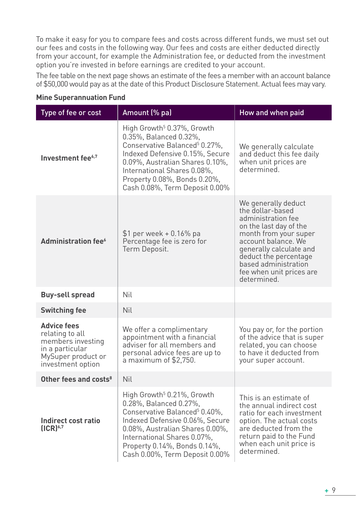To make it easy for you to compare fees and costs across different funds, we must set out our fees and costs in the following way. Our fees and costs are either deducted directly from your account, for example the Administration fee, or deducted from the investment option you're invested in before earnings are credited to your account.

The fee table on the next page shows an estimate of the fees a member with an account balance of \$50,000 would pay as at the date of this Product Disclosure Statement. Actual fees may vary.

| Type of fee or cost                                                                                                      | Amount (% pa)                                                                                                                                                                                                                                                                        | How and when paid                                                                                                                                                                                                                                              |
|--------------------------------------------------------------------------------------------------------------------------|--------------------------------------------------------------------------------------------------------------------------------------------------------------------------------------------------------------------------------------------------------------------------------------|----------------------------------------------------------------------------------------------------------------------------------------------------------------------------------------------------------------------------------------------------------------|
| Investment fee <sup>6,7</sup>                                                                                            | High Growth <sup>5</sup> 0.37%, Growth<br>0.35%, Balanced 0.32%,<br>Conservative Balanced <sup>5</sup> 0.27%.<br>Indexed Defensive 0.15%, Secure<br>0.09%, Australian Shares 0.10%,<br>International Shares 0.08%,<br>Property 0.08%, Bonds 0.20%,<br>Cash 0.08%, Term Deposit 0.00% | We generally calculate<br>and deduct this fee daily<br>when unit prices are<br>determined.                                                                                                                                                                     |
| Administration fee <sup>6</sup>                                                                                          | \$1 per week + 0.16% pa<br>Percentage fee is zero for<br>Term Deposit.                                                                                                                                                                                                               | We generally deduct<br>the dollar-based<br>administration fee<br>on the last day of the<br>month from your super<br>account balance. We<br>generally calculate and<br>deduct the percentage<br>based administration<br>fee when unit prices are<br>determined. |
| <b>Buy-sell spread</b>                                                                                                   | Nil                                                                                                                                                                                                                                                                                  |                                                                                                                                                                                                                                                                |
| <b>Switching fee</b>                                                                                                     | Nil                                                                                                                                                                                                                                                                                  |                                                                                                                                                                                                                                                                |
| <b>Advice fees</b><br>relating to all<br>members investing<br>in a particular<br>MySuper product or<br>investment option | We offer a complimentary<br>appointment with a financial<br>adviser for all members and<br>personal advice fees are up to<br>a maximum of \$2,750.                                                                                                                                   | You pay or, for the portion<br>of the advice that is super<br>related, you can choose<br>to have it deducted from<br>your super account.                                                                                                                       |
| Other fees and costs <sup>8</sup>                                                                                        | Nil                                                                                                                                                                                                                                                                                  |                                                                                                                                                                                                                                                                |
| Indirect cost ratio<br>(ICR) <sup>6,7</sup>                                                                              | High Growth <sup>5</sup> 0.21%, Growth<br>0.28%, Balanced 0.27%,<br>Conservative Balanced <sup>5</sup> 0.40%,<br>Indexed Defensive 0.06%, Secure<br>0.08%, Australian Shares 0.00%,<br>International Shares 0.07%,<br>Property 0.14%, Bonds 0.14%,<br>Cash 0.00%, Term Deposit 0.00% | This is an estimate of<br>the annual indirect cost<br>ratio for each investment<br>option. The actual costs<br>are deducted from the<br>return paid to the Fund<br>when each unit price is<br>determined.                                                      |

#### **Mine Superannuation Fund**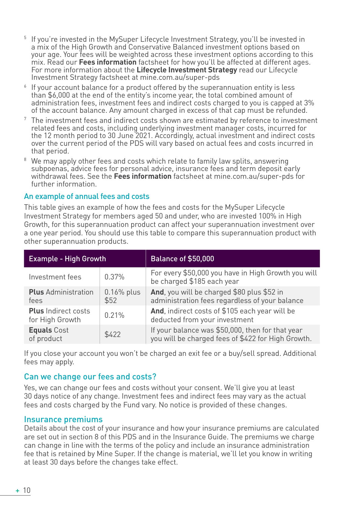- <sup>5</sup> If you're invested in the MySuper Lifecycle Investment Strategy, you'll be invested in a mix of the High Growth and Conservative Balanced investment options based on your age. Your fees will be weighted across these investment options according to this mix. Read our **Fees information** factsheet for how you'll be affected at different ages. For more information about the **Lifecycle Investment Strategy** read our Lifecycle Investment Strategy factsheet at mine.com.au/super-pds
- <sup>6</sup> If your account balance for a product offered by the superannuation entity is less than \$6,000 at the end of the entity's income year, the total combined amount of administration fees, investment fees and indirect costs charged to you is capped at 3% of the account balance. Any amount charged in excess of that cap must be refunded.
- $7$  The investment fees and indirect costs shown are estimated by reference to investment related fees and costs, including underlying investment manager costs, incurred for the 12 month period to 30 June 2021. Accordingly, actual investment and indirect costs over the current period of the PDS will vary based on actual fees and costs incurred in that period.
- We may apply other fees and costs which relate to family law splits, answering subpoenas, advice fees for personal advice, insurance fees and term deposit early withdrawal fees. See the **Fees information** factsheet at mine.com.au/super-pds for further information.

#### An example of annual fees and costs

This table gives an example of how the fees and costs for the MySuper Lifecycle Investment Strategy for members aged 50 and under, who are invested 100% in High Growth, for this superannuation product can affect your superannuation investment over a one year period. You should use this table to compare this superannuation product with other superannuation products.

| <b>Example - High Growth</b>                  |                      | <b>Balance of \$50,000</b>                                                                             |
|-----------------------------------------------|----------------------|--------------------------------------------------------------------------------------------------------|
| Investment fees                               | 0.37%                | For every \$50,000 you have in High Growth you will<br>be charged \$185 each year                      |
| <b>Plus</b> Administration<br>fees            | $0.16%$ plus<br>\$52 | And, you will be charged \$80 plus \$52 in<br>administration fees regardless of your balance           |
| <b>Plus</b> Indirect costs<br>for High Growth | 0.21%                | And, indirect costs of \$105 each year will be<br>deducted from your investment                        |
| <b>Equals Cost</b><br>of product              | \$422                | If your balance was \$50,000, then for that year<br>you will be charged fees of \$422 for High Growth. |

If you close your account you won't be charged an exit fee or a buy/sell spread. Additional fees may apply.

#### Can we change our fees and costs?

Yes, we can change our fees and costs without your consent. We'll give you at least 30 days notice of any change. Investment fees and indirect fees may vary as the actual fees and costs charged by the Fund vary. No notice is provided of these changes.

#### Insurance premiums

Details about the cost of your insurance and how your insurance premiums are calculated are set out in section 8 of this PDS and in the Insurance Guide. The premiums we charge can change in line with the terms of the policy and include an insurance administration fee that is retained by Mine Super. If the change is material, we'll let you know in writing at least 30 days before the changes take effect.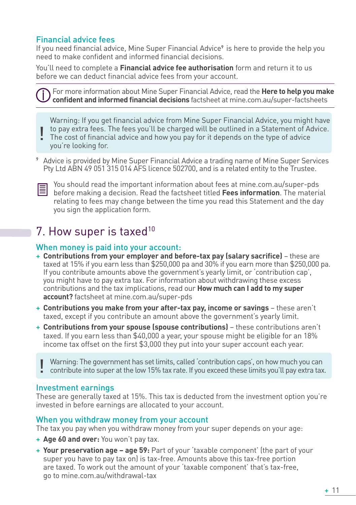### Financial advice fees

If you need financial advice, Mine Super Financial Advice<sup>9</sup> is here to provide the help you need to make confident and informed financial decisions.

You'll need to complete a **Financial advice fee authorisation** form and return it to us before we can deduct financial advice fees from your account.

For more information about Mine Super Financial Advice, read the **Here to help you make confident and informed financial decisions** factsheet at mine.com.au/super-factsheets

Warning: If you get financial advice from Mine Super Financial Advice, you might have to pay extra fees. The fees you'll be charged will be outlined in a Statement of Advice.

- The cost of financial advice and how you pay for it depends on the type of advice you're looking for. !
- <sup>9</sup> Advice is provided by Mine Super Financial Advice a trading name of Mine Super Services Pty Ltd ABN 49 051 315 014 AFS licence 502700, and is a related entity to the Trustee.



You should read the important information about fees at mine.com.au/super-pds before making a decision. Read the factsheet titled **Fees information**. The material relating to fees may change between the time you read this Statement and the day you sign the application form.

# 7. How super is taxed<sup>10</sup>

#### When money is paid into your account:

- + **Contributions from your employer and before-tax pay (salary sacrifice)** these are taxed at 15% if you earn less than \$250,000 pa and 30% if you earn more than \$250,000 pa. If you contribute amounts above the government's yearly limit, or 'contribution cap', you might have to pay extra tax. For information about withdrawing these excess contributions and the tax implications, read our **How much can I add to my super account?** factsheet at mine.com.au/super-pds
- + **Contributions you make from your after-tax pay, income or savings** these aren't taxed, except if you contribute an amount above the government's yearly limit.
- + **Contributions from your spouse (spouse contributions)** these contributions aren't taxed. If you earn less than \$40,000 a year, your spouse might be eligible for an 18% income tax offset on the first \$3,000 they put into your super account each year.

Warning: The government has set limits, called 'contribution caps', on how much you can<br>! contribute into super at the low 15% tax rate. If you exceed these limits you'll pay extra tax.

#### Investment earnings

These are generally taxed at 15%. This tax is deducted from the investment option you're invested in before earnings are allocated to your account.

#### When you withdraw money from your account

The tax you pay when you withdraw money from your super depends on your age:

- + **Age 60 and over:** You won't pay tax.
- + **Your preservation age age 59:** Part of your 'taxable component' (the part of your super you have to pay tax on) is tax-free. Amounts above this tax-free portion are taxed. To work out the amount of your 'taxable component' that's tax-free, go to mine.com.au/withdrawal-tax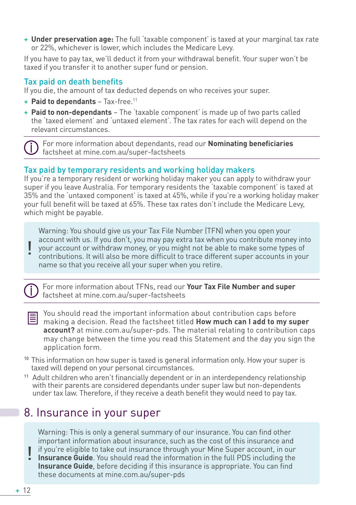+ **Under preservation age:** The full 'taxable component' is taxed at your marginal tax rate or 22%, whichever is lower, which includes the Medicare Levy.

If you have to pay tax, we'll deduct it from your withdrawal benefit. Your super won't be taxed if you transfer it to another super fund or pension.

### Tax paid on death benefits

If you die, the amount of tax deducted depends on who receives your super.

- + **Paid to dependants** Tax-free.11
- + **Paid to non-dependants** The 'taxable component' is made up of two parts called the 'taxed element' and 'untaxed element'. The tax rates for each will depend on the relevant circumstances.

 For more information about dependants, read our **Nominating beneficiaries** factsheet at mine.com.au/super-factsheets

#### Tax paid by temporary residents and working holiday makers

If you're a temporary resident or working holiday maker you can apply to withdraw your super if you leave Australia. For temporary residents the 'taxable component' is taxed at 35% and the 'untaxed component' is taxed at 45%, while if you're a working holiday maker your full benefit will be taxed at 65%. These tax rates don't include the Medicare Levy, which might be payable.

Warning: You should give us your Tax File Number (TFN) when you open your account with us. If you don't, you may pay extra tax when you contribute money into your account or withdraw money, or you might not be able to make some types of contributions. It will also be more difficult to trace different super accounts in your name so that you receive all your super when you retire. !



 For more information about TFNs, read our **Your Tax File Number and super**  factsheet at mine.com.au/super-factsheets

- You should read the important information about contribution caps before making a decision. Read the factsheet titled **How much can I add to my super account?** at mine.com.au/super-pds. The material relating to contribution caps may change between the time you read this Statement and the day you sign the application form.
- <sup>10</sup> This information on how super is taxed is general information only. How your super is taxed will depend on your personal circumstances.
- <sup>11</sup> Adult children who aren't financially dependent or in an interdependency relationship with their parents are considered dependants under super law but non-dependents under tax law. Therefore, if they receive a death benefit they would need to pay tax.

# 8. Insurance in your super

Warning: This is only a general summary of our insurance. You can find other important information about insurance, such as the cost of this insurance and

I if you're eligible to take out insurance through your Mine Super account, in our **Insurance Guide**. You should read the information in the full PDS including the **Insurance Guide**. You should read the information in the full PDS including the **Insurance Guide**, before deciding if this insurance is appropriate. You can find these documents at mine.com.au/super-pds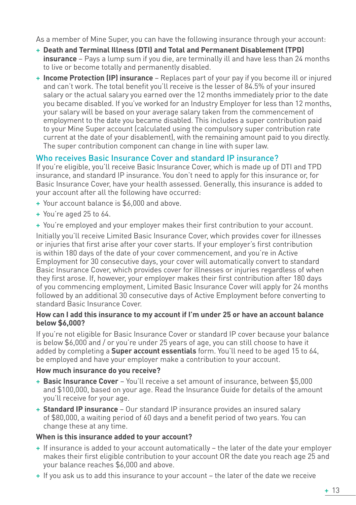As a member of Mine Super, you can have the following insurance through your account:

- + **Death and Terminal Illness (DTI) and Total and Permanent Disablement (TPD) insurance** – Pays a lump sum if you die, are terminally ill and have less than 24 months to live or become totally and permanently disabled.
- + **Income Protection (IP) insurance** Replaces part of your pay if you become ill or injured and can't work. The total benefit you'll receive is the lesser of 84.5% of your insured salary or the actual salary you earned over the 12 months immediately prior to the date you became disabled. If you've worked for an Industry Employer for less than 12 months, your salary will be based on your average salary taken from the commencement of employment to the date you became disabled. This includes a super contribution paid to your Mine Super account (calculated using the compulsory super contribution rate current at the date of your disablement), with the remaining amount paid to you directly. The super contribution component can change in line with super law.

### Who receives Basic Insurance Cover and standard IP insurance?

If you're eligible, you'll receive Basic Insurance Cover, which is made up of DTI and TPD insurance, and standard IP insurance. You don't need to apply for this insurance or, for Basic Insurance Cover, have your health assessed. Generally, this insurance is added to your account after all the following have occurred:

- + Your account balance is \$6,000 and above.
- + You're aged 25 to 64.
- + You're employed and your employer makes their first contribution to your account.

Initially you'll receive Limited Basic Insurance Cover, which provides cover for illnesses or injuries that first arise after your cover starts. If your employer's first contribution is within 180 days of the date of your cover commencement, and you're in Active Employment for 30 consecutive days, your cover will automatically convert to standard Basic Insurance Cover, which provides cover for illnesses or injuries regardless of when they first arose. If, however, your employer makes their first contribution after 180 days of you commencing employment, Limited Basic Insurance Cover will apply for 24 months followed by an additional 30 consecutive days of Active Employment before converting to standard Basic Insurance Cover.

#### **How can I add this insurance to my account if I'm under 25 or have an account balance below \$6,000?**

If you're not eligible for Basic Insurance Cover or standard IP cover because your balance is below \$6,000 and / or you're under 25 years of age, you can still choose to have it added by completing a **Super account essentials** form. You'll need to be aged 15 to 64, be employed and have your employer make a contribution to your account.

#### **How much insurance do you receive?**

- + **Basic Insurance Cover** You'll receive a set amount of insurance, between \$5,000 and \$100,000, based on your age. Read the Insurance Guide for details of the amount you'll receive for your age.
- + **Standard IP insurance** Our standard IP insurance provides an insured salary of \$80,000, a waiting period of 60 days and a benefit period of two years. You can change these at any time.

#### **When is this insurance added to your account?**

- + If insurance is added to your account automatically the later of the date your employer makes their first eligible contribution to your account OR the date you reach age 25 and your balance reaches \$6,000 and above.
- + If you ask us to add this insurance to your account the later of the date we receive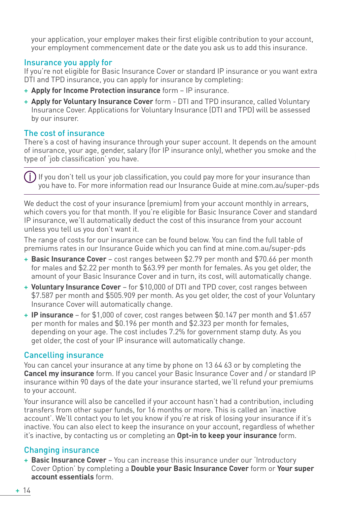your application, your employer makes their first eligible contribution to your account, your employment commencement date or the date you ask us to add this insurance.

#### Insurance you apply for

If you're not eligible for Basic Insurance Cover or standard IP insurance or you want extra DTI and TPD insurance, you can apply for insurance by completing:

- + **Apply for Income Protection insurance** form IP insurance.
- + **Apply for Voluntary Insurance Cover** form DTI and TPD insurance, called Voluntary Insurance Cover. Applications for Voluntary Insurance (DTI and TPD) will be assessed by our insurer.

#### The cost of insurance

There's a cost of having insurance through your super account. It depends on the amount of insurance, your age, gender, salary (for IP insurance only), whether you smoke and the type of 'job classification' you have.

 $\left( \dot{} \, \right)$  If vou don't tell us vour job classification, vou could pay more for vour insurance than you have to. For more information read our Insurance Guide at mine.com.au/super-pds

We deduct the cost of your insurance (premium) from your account monthly in arrears, which covers you for that month. If you're eligible for Basic Insurance Cover and standard IP insurance, we'll automatically deduct the cost of this insurance from your account unless you tell us you don't want it.

The range of costs for our insurance can be found below. You can find the full table of premiums rates in our Insurance Guide which you can find at mine.com.au/super-pds

- + **Basic Insurance Cover** cost ranges between \$2.79 per month and \$70.66 per month for males and \$2.22 per month to \$63.99 per month for females. As you get older, the amount of your Basic Insurance Cover and in turn, its cost, will automatically change.
- + **Voluntary Insurance Cover** for \$10,000 of DTI and TPD cover, cost ranges between \$7.587 per month and \$505.909 per month. As you get older, the cost of your Voluntary Insurance Cover will automatically change.
- + **IP insurance**  for \$1,000 of cover, cost ranges between \$0.147 per month and \$1.657 per month for males and \$0.196 per month and \$2.323 per month for females, depending on your age. The cost includes 7.2% for government stamp duty. As you get older, the cost of your IP insurance will automatically change.

#### Cancelling insurance

You can cancel your insurance at any time by phone on 13 64 63 or by completing the **Cancel my insurance** form. If you cancel your Basic Insurance Cover and / or standard IP insurance within 90 days of the date your insurance started, we'll refund your premiums to your account.

Your insurance will also be cancelled if your account hasn't had a contribution, including transfers from other super funds, for 16 months or more. This is called an 'inactive account'. We'll contact you to let you know if you're at risk of losing your insurance if it's inactive. You can also elect to keep the insurance on your account, regardless of whether it's inactive, by contacting us or completing an **Opt-in to keep your insurance** form.

#### Changing insurance

+ **Basic Insurance Cover** – You can increase this insurance under our 'Introductory Cover Option' by completing a **Double your Basic Insurance Cover** form or **Your super account essentials** form.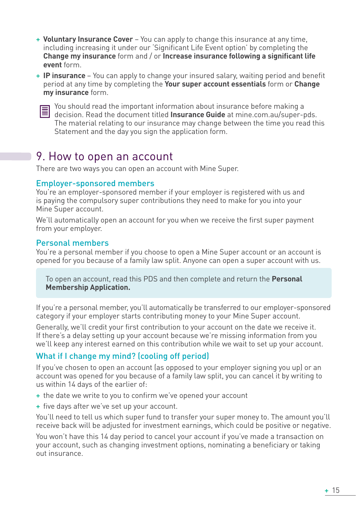- + **Voluntary Insurance Cover** You can apply to change this insurance at any time, including increasing it under our 'Significant Life Event option' by completing the **Change my insurance** form and / or **Increase insurance following a significant life event** form.
- + **IP insurance**  You can apply to change your insured salary, waiting period and benefit period at any time by completing the **Your super account essentials** form or **Change my insurance** form.



 $\equiv$  You should read the important information about insurance before making a decision. Read the document titled **Insurance Guide** at mine.com.au/super-pds. The material relating to our insurance may change between the time you read this Statement and the day you sign the application form.

# 9. How to open an account

There are two ways you can open an account with Mine Super.

#### Employer-sponsored members

You're an employer-sponsored member if your employer is registered with us and is paying the compulsory super contributions they need to make for you into your Mine Super account.

We'll automatically open an account for you when we receive the first super payment from your employer.

#### Personal members

You're a personal member if you choose to open a Mine Super account or an account is opened for you because of a family law split. Anyone can open a super account with us.

To open an account, read this PDS and then complete and return the **Personal Membership Application.**

If you're a personal member, you'll automatically be transferred to our employer-sponsored category if your employer starts contributing money to your Mine Super account.

Generally, we'll credit your first contribution to your account on the date we receive it. If there's a delay setting up your account because we're missing information from you we'll keep any interest earned on this contribution while we wait to set up your account.

## What if I change my mind? (cooling off period)

If you've chosen to open an account (as opposed to your employer signing you up) or an account was opened for you because of a family law split, you can cancel it by writing to us within 14 days of the earlier of:

- + the date we write to you to confirm we've opened your account
- + five days after we've set up your account.

You'll need to tell us which super fund to transfer your super money to. The amount you'll receive back will be adjusted for investment earnings, which could be positive or negative.

You won't have this 14 day period to cancel your account if you've made a transaction on your account, such as changing investment options, nominating a beneficiary or taking out insurance.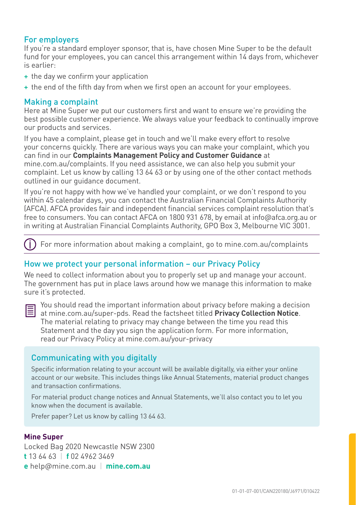#### For employers

If you're a standard employer sponsor, that is, have chosen Mine Super to be the default fund for your employees, you can cancel this arrangement within 14 days from, whichever is earlier:

- + the day we confirm your application
- + the end of the fifth day from when we first open an account for your employees.

#### Making a complaint

Here at Mine Super we put our customers first and want to ensure we're providing the best possible customer experience. We always value your feedback to continually improve our products and services.

If you have a complaint, please get in touch and we'll make every effort to resolve your concerns quickly. There are various ways you can make your complaint, which you can find in our **Complaints Management Policy and Customer Guidance** at mine.com.au/complaints. If you need assistance, we can also help you submit your complaint. Let us know by calling 13 64 63 or by using one of the other contact methods outlined in our guidance document.

If you're not happy with how we've handled your complaint, or we don't respond to you within 45 calendar days, you can contact the Australian Financial Complaints Authority (AFCA). AFCA provides fair and independent financial services complaint resolution that's free to consumers. You can contact AFCA on 1800 931 678, by email at info@afca.org.au or in writing at Australian Financial Complaints Authority, GPO Box 3, Melbourne VIC 3001.

Œ For more information about making a complaint, go to mine.com.au/complaints

#### How we protect your personal information – our Privacy Policy

We need to collect information about you to properly set up and manage your account. The government has put in place laws around how we manage this information to make sure it's protected.



 $\mathbf{F}$  You should read the important information about privacy before making a decision at mine.com.au/super-pds. Read the factsheet titled **Privacy Collection Notice**. The material relating to privacy may change between the time you read this Statement and the day you sign the application form. For more information, read our Privacy Policy at mine.com.au/your-privacy

#### Communicating with you digitally

Specific information relating to your account will be available digitally, via either your online account or our website. This includes things like Annual Statements, material product changes and transaction confirmations.

For material product change notices and Annual Statements, we'll also contact you to let you know when the document is available.

Prefer paper? Let us know by calling 13 64 63.

#### **Mine Super**

Locked Bag 2020 Newcastle NSW 2300 **t** 13 64 63 | **f** 02 4962 3469 **e** help@mine.com.au | **mine.com.au**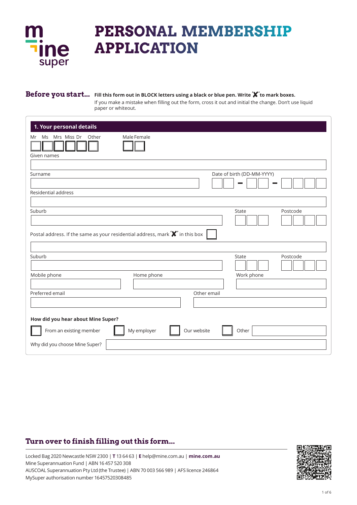

# **PERSONAL MEMBERSHIP APPLICATION**

## **Before you start... Fill this form out in BLOCK letters using a black or blue pen. Write ' ' to mark boxes.**

If you make a mistake when filling out the form, cross it out and initial the change. Don't use liquid paper or whiteout.

| 1. Your personal details                                                                                          |                                     |
|-------------------------------------------------------------------------------------------------------------------|-------------------------------------|
| Ms Mrs Miss Dr Other<br>Mr<br>Given names                                                                         | Male Female                         |
|                                                                                                                   |                                     |
| Surname                                                                                                           | Date of birth (DD-MM-YYYY)          |
| Residential address                                                                                               |                                     |
| Suburb                                                                                                            | Postcode<br>State                   |
| Postal address. If the same as your residential address, mark $\mathbf{\mathbf{\mathsf{Y}}}^{\prime}$ in this box |                                     |
| Suburb                                                                                                            | State<br>Postcode                   |
| Mobile phone                                                                                                      | Home phone<br>Work phone            |
| Preferred email                                                                                                   | Other email                         |
| How did you hear about Mine Super?                                                                                |                                     |
| From an existing member                                                                                           | Our website<br>My employer<br>Other |
| Why did you choose Mine Super?                                                                                    |                                     |

# **Turn over to finish filling out this form...**

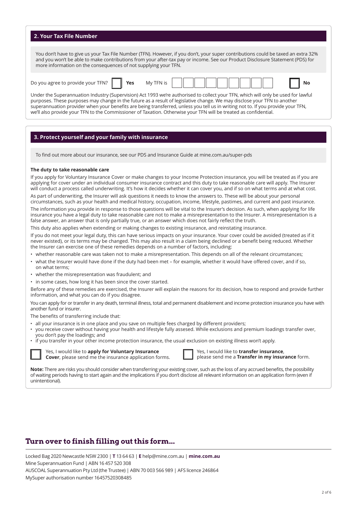#### **2. Your Tax File Number**

You don't have to give us your Tax File Number (TFN). However, if you don't, your super contributions could be taxed an extra 32% and you won't be able to make contributions from your after-tax pay or income. See our Product Disclosure Statement (PDS) for more information on the consequences of not supplying your TFN.

| $\overline{\phantom{0}}$<br>VOUR<br>FN?<br>וחע<br>ANIVO<br>00۰ ل<br>aoree 1 |  | <b>Yes</b> | Mv<br>- NI |  |  |  |  |  |  |  |  |  |  | <b>NC</b> |  |
|-----------------------------------------------------------------------------|--|------------|------------|--|--|--|--|--|--|--|--|--|--|-----------|--|
|-----------------------------------------------------------------------------|--|------------|------------|--|--|--|--|--|--|--|--|--|--|-----------|--|

Under the Superannuation Industry (Supervision) Act 1993 we're authorised to collect your TFN, which will only be used for lawful purposes. These purposes may change in the future as a result of legislative change. We may disclose your TFN to another superannuation provider when your benefits are being transferred, unless you tell us in writing not to. If you provide your TFN, we'll also provide your TFN to the Commissioner of Taxation. Otherwise your TFN will be treated as confidential.

### **3. Protect yourself and your family with insurance**

To find out more about our insurance, see our PDS and Insurance Guide at mine.com.au/super-pds

#### **The duty to take reasonable care**

If you apply for Voluntary Insurance Cover or make changes to your Income Protection insurance, you will be treated as if you are applying for cover under an individual consumer insurance contract and this duty to take reasonable care will apply. The Insurer will conduct a process called underwriting. It's how it decides whether it can cover you, and if so on what terms and at what cost.

As part of underwriting, the Insurer will ask questions it needs to know the answers to. These will be about your personal circumstances, such as your health and medical history, occupation, income, lifestyle, pastimes, and current and past insurance. The information you provide in response to those questions will be vital to the Insurer's decision. As such, when applying for life insurance you have a legal duty to take reasonable care not to make a misrepresentation to the Insurer. A misrepresentation is a false answer, an answer that is only partially true, or an answer which does not fairly reflect the truth.

This duty also applies when extending or making changes to existing insurance, and reinstating insurance.

If you do not meet your legal duty, this can have serious impacts on your insurance. Your cover could be avoided (treated as if it never existed), or its terms may be changed. This may also result in a claim being declined or a benefit being reduced. Whether the Insurer can exercise one of these remedies depends on a number of factors, including:

- whether reasonable care was taken not to make a misrepresentation. This depends on all of the relevant circumstances;
- what the Insurer would have done if the duty had been met for example, whether it would have offered cover, and if so, on what terms;
- whether the misrepresentation was fraudulent; and
- in some cases, how long it has been since the cover started.

Before any of these remedies are exercised, the Insurer will explain the reasons for its decision, how to respond and provide further information, and what you can do if you disagree.

You can apply for or transfer in any death, terminal illness, total and permanent disablement and income protection insurance you have with another fund or insurer.

The benefits of transferring include that:

- all your insurance is in one place and you save on multiple fees charged by different providers;
- you receive cover without having your health and lifestyle fully assesed. While exclusions and premium loadings transfer over, you don't pay the loadings; and
- if you transfer in your other income protection insurance, the usual exclusion on existing illness won't apply.



Yes, I would like to **apply for Voluntary Insurance Cover**, please send me the insurance application forms.



Yes, I would like to **transfer insurance**, please send me a **Transfer in my insurance** form.

**Note:** There are risks you should consider when transferring your existing cover, such as the loss of any accrued benefits, the possibility of waiting periods having to start again and the implications if you don't disclose all relevant information on an application form (even if unintentional).

# **Turn over to finish filling out this form...**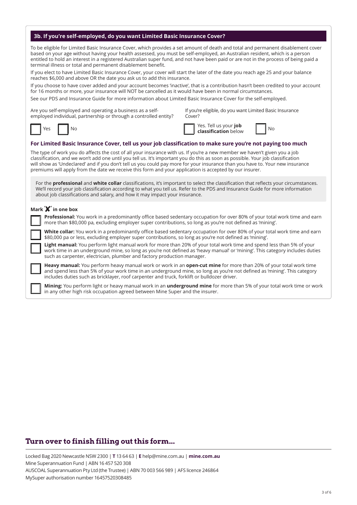|  |  |  |  | 3b. If you're self-employed, do you want Limited Basic Insurance Cover? |
|--|--|--|--|-------------------------------------------------------------------------|
|--|--|--|--|-------------------------------------------------------------------------|

To be eligible for Limited Basic Insurance Cover, which provides a set amount of death and total and permanent disablement cover based on your age without having your health assessed, you must be self-employed, an Australian resident, which is a person entitled to hold an interest in a registered Australian super fund, and not have been paid or are not in the process of being paid a terminal illness or total and permanent disablement benefit.

If you elect to have Limited Basic Insurance Cover, your cover will start the later of the date you reach age 25 and your balance reaches \$6,000 and above OR the date you ask us to add this insurance.

If you choose to have cover added and your account becomes 'inactive', that is a contribution hasn't been credited to your account for 16 months or more, your insurance will NOT be cancelled as it would have been in normal circumstances.

See our PDS and Insurance Guide for more information about Limited Basic Insurance Cover for the self-employed.

Are you self-employed and operating a business as a selfemployed individual, partnership or through a controlled entity? If you're eligible, do you want Limited Basic Insurance Cover?

**classification** below  $\begin{bmatrix} \n\end{bmatrix}$  No

Yes. Tell us your **job** 

 $No$ 

**For Limited Basic Insurance Cover, tell us your job classification to make sure you're not paying too much**

The type of work you do affects the cost of all your insurance with us. If you're a new member we haven't given you a job classification, and we won't add one until you tell us. It's important you do this as soon as possible. Your job classification will show as 'Undeclared' and if you don't tell us you could pay more for your insurance than you have to. Your new insurance premiums will apply from the date we receive this form and your application is accepted by our insurer.

For the **professional** and **white collar** classifications, it's important to select the classification that reflects your circumstances. We'll record your job classification according to what you tell us. Refer to the PDS and Insurance Guide for more information about job classifications and salary, and how it may impact your insurance.

#### **Mark ' ' in one box**

 **Professional:** You work in a predominantly office based sedentary occupation for over 80% of your total work time and earn more than \$80,000 pa, excluding employer super contributions, so long as you're not defined as 'mining'.

 **White collar:** You work in a predominantly office based sedentary occupation for over 80% of your total work time and earn \$80,000 pa or less, excluding employer super contributions, so long as you're not defined as 'mining'.

 **Light manual:** You perform light manual work for more than 20% of your total work time and spend less than 5% of your work time in an underground mine, so long as you're not defined as 'heavy manual' or 'mining'. This category includes duties such as carpenter, electrician, plumber and factory production manager.

 **Heavy manual:** You perform heavy manual work or work in an **open-cut mine** for more than 20% of your total work time and spend less than 5% of your work time in an underground mine, so long as you're not defined as 'mining'. This category includes duties such as bricklayer, roof carpenter and truck, forklift or bulldozer driver.

 **Mining:** You perform light or heavy manual work in an **underground mine** for more than 5% of your total work time or work in any other high risk occupation agreed between Mine Super and the insurer.

# **Turn over to finish filling out this form...**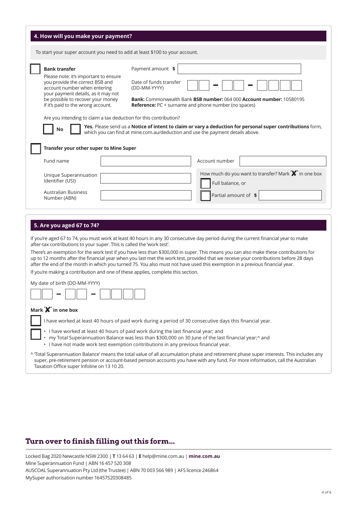| 4. How will you make your payment?                                                                                                                                                                                                                 |                                                                                                                                                                                                                                                                                                                                                                                                                                                                                                                                                     |
|----------------------------------------------------------------------------------------------------------------------------------------------------------------------------------------------------------------------------------------------------|-----------------------------------------------------------------------------------------------------------------------------------------------------------------------------------------------------------------------------------------------------------------------------------------------------------------------------------------------------------------------------------------------------------------------------------------------------------------------------------------------------------------------------------------------------|
| To start your super account you need to add at least \$100 to your account.                                                                                                                                                                        |                                                                                                                                                                                                                                                                                                                                                                                                                                                                                                                                                     |
| <b>Bank transfer</b><br>Please note: it's important to ensure<br>you provide the correct BSB and<br>account number when entering<br>your payment details, as it may not<br>be possible to recover your money<br>if it's paid to the wrong account. | Payment amount \$<br>Date of funds transfer<br>(DD-MM-YYYY)<br><b>Bank: Commonwealth Bank BSB number: 064 000 Account number: 10580195</b><br><b>Reference:</b> PC + surname and phone number (no spaces)                                                                                                                                                                                                                                                                                                                                           |
| Are you intending to claim a tax deduction for this contribution?<br>No                                                                                                                                                                            | Yes. Please send us a Notice of intent to claim or vary a deduction for personal super contributions form,<br>which you can find at mine.com.au/deduction and use the payment details above.                                                                                                                                                                                                                                                                                                                                                        |
| Transfer your other super to Mine Super                                                                                                                                                                                                            |                                                                                                                                                                                                                                                                                                                                                                                                                                                                                                                                                     |
| Fund name                                                                                                                                                                                                                                          | Account number                                                                                                                                                                                                                                                                                                                                                                                                                                                                                                                                      |
| Unique Superannuation<br>Identifier (USI)                                                                                                                                                                                                          | How much do you want to transfer? Mark <b>X</b> in one box<br>Full balance, or                                                                                                                                                                                                                                                                                                                                                                                                                                                                      |
| <b>Australian Business</b><br>Number (ABN)                                                                                                                                                                                                         | Partial amount of \$                                                                                                                                                                                                                                                                                                                                                                                                                                                                                                                                |
| 5. Are you aged 67 to 74?<br>after-tax contributions to your super. This is called the 'work test'.<br>If you're making a contribution and one of these applies, complete this section.<br>My date of birth (DD-MM-YYYY)                           | If you're aged 67 to 74, you must work at least 40 hours in any 30 consecutive day period during the current financial year to make<br>There's an exemption for the work test if you have less than \$300,000 in super. This means you can also make these contributions for<br>up to 12 months after the financial year when you last met the work test, provided that we receive your contributions before 28 days<br>after the end of the month in which you turned 75. You also must not have used this exemption in a previous financial year. |

## **Mark ' ' in one box**

I have worked at least 40 hours of paid work during a period of 30 consecutive days this financial year.

- I have worked at least 40 hours of paid work during the last financial year; and
- my Total Superannuation Balance was less than \$300,000 on 30 June of the last financial year;^ and
- I have not made work test exemption contributions in any previous financial year.

^ 'Total Superannuation Balance' means the total value of all accumulation phase and retirement phase super interests. This includes any super, pre-retirement pension or account-based pension accounts you have with any fund. For more information, call the Australian Taxation Office super Infoline on 13 10 20.

## **Turn over to finish filling out this form...**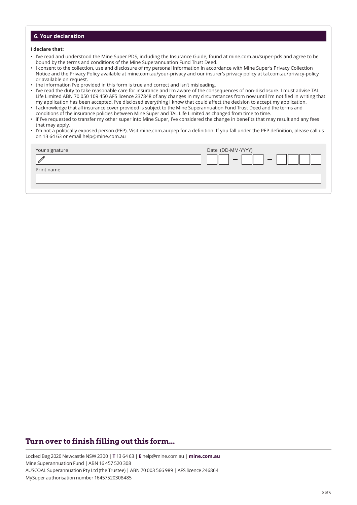## **6. Your declaration**

#### **I declare that:**

- I've read and understood the Mine Super PDS, including the Insurance Guide, found at mine.com.au/super-pds and agree to be bound by the terms and conditions of the Mine Superannuation Fund Trust Deed.
- I consent to the collection, use and disclosure of my personal information in accordance with Mine Super's Privacy Collection Notice and the Privacy Policy available at mine.com.au/your-privacy and our insurer's privacy policy at tal.com.au/privacy-policy or available on request.
- the information I've provided in this form is true and correct and isn't misleading.
- I've read the duty to take reasonable care for insurance and I'm aware of the consequences of non-disclosure. I must advise TAL Life Limited ABN 70 050 109 450 AFS licence 237848 of any changes in my circumstances from now until I'm notified in writing that my application has been accepted. I've disclosed everything I know that could affect the decision to accept my application.
- I acknowledge that all insurance cover provided is subject to the Mine Superannuation Fund Trust Deed and the terms and conditions of the insurance policies between Mine Super and TAL Life Limited as changed from time to time.
- if I've requested to transfer my other super into Mine Super, I've considered the change in benefits that may result and any fees that may apply.
- I'm not a politically exposed person (PEP). Visit mine.com.au/pep for a definition. If you fall under the PEP definition, please call us on 13 64 63 or email help@mine.com.au

| Your signature | Date (DD-MM-YYYY)        |
|----------------|--------------------------|
|                | <b>COLOR</b><br>$\equiv$ |
| Print name     |                          |
|                |                          |
|                |                          |

# **Turn over to finish filling out this form...**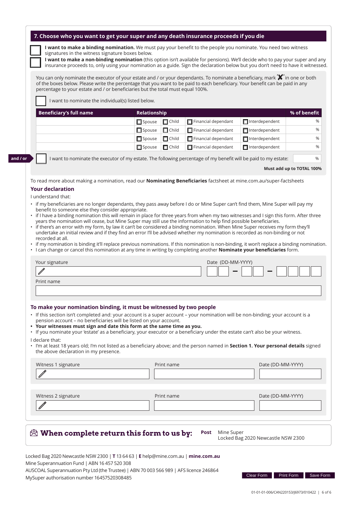| 7. Choose who you want to get your super and any death insurance proceeds if you die |  |
|--------------------------------------------------------------------------------------|--|
|--------------------------------------------------------------------------------------|--|

**I want to make a binding nomination.** We must pay your benefit to the people you nominate. You need two witness signatures in the witness signature boxes below.

**I want to make a non-binding nomination** (this option isn't available for pensions). We'll decide who to pay your super and any insurance proceeds to, only using your nomination as a guide. Sign the declaration below but you don't need to have it witnessed.

You can only nominate the executor of your estate and / or your dependants. To nominate a beneficiary, mark **'X'** in one or both of the boxes below. Please write the percentage that you want to be paid to each beneficiary. Your benefit can be paid in any percentage to your estate and / or beneficiaries but the total must equal 100%.

I want to nominate the individual(s) listed below.

| Beneficiary's full name<br>Relationship |               |              |                            |                       |   |
|-----------------------------------------|---------------|--------------|----------------------------|-----------------------|---|
|                                         | $\Box$ Spouse | $\Box$ Child | $\Box$ Financial dependant | $\Box$ Interdependent | % |
|                                         | $\Box$ Spouse | $\Box$ Child | $\Box$ Financial dependant | $\Box$ Interdependent | % |
|                                         | $\Box$ Spouse | $\Box$ Child | $\Box$ Financial dependant | $\Box$ Interdependent | % |
|                                         | $\Box$ Spouse | $\Box$ Child | $\Box$ Financial dependant | $\Box$ Interdependent | % |

**and / or**

I want to nominate the executor of my estate. The following percentage of my benefit will be paid to my estate:

#### **Must add up to TOTAL 100%**

%

To read more about making a nomination, read our **Nominating Beneficiaries** factsheet at mine.com.au/super-factsheets

## **Your declaration**

- I understand that:
- if my beneficiaries are no longer dependants, they pass away before I do or Mine Super can't find them, Mine Super will pay my benefit to someone else they consider appropriate.
- $\cdot$  if I have a binding nomination this will remain in place for three years from when my two witnesses and I sign this form. After three years the nomination will cease, but Mine Super may still use the information to help find possible beneficiaries.
- if there's an error with my form, by law it can't be considered a binding nomination. When Mine Super receives my form they'll undertake an initial review and if they find an error I'll be advised whether my nomination is recorded as non-binding or not recorded at all.
- if my nomination is binding it'll replace previous nominations. If this nomination is non-binding, it won't replace a binding nomination.

• I can change or cancel this nomination at any time in writing by completing another **Nominate your beneficiaries** form.

| Your signature | Date (DD-MM-YYYY) |
|----------------|-------------------|
|                |                   |
| Print name     |                   |
|                |                   |

#### **To make your nomination binding, it must be witnessed by two people**

- If this section isn't completed and: your account is a super account your nomination will be non-binding; your account is a pension account – no beneficiaries will be listed on your account.
- **• Your witnesses must sign and date this form at the same time as you.**
- If you nominate your 'estate' as a beneficiary, your executor or a beneficiary under the estate can't also be your witness.

I declare that:

• I'm at least 18 years old; I'm not listed as a beneficiary above; and the person named in **Section 1. Your personal details** signed the above declaration in my presence.

| Witness 2 signature | Print name | Date (DD-MM-YYYY) |
|---------------------|------------|-------------------|
|                     |            |                   |
|                     |            |                   |

Locked Bag 2020 Newcastle NSW 2300 | **T** 13 64 63 | **E** help@mine.com.au | **mine.com.au** Mine Superannuation Fund | ABN 16 457 520 308 AUSCOAL Superannuation Pty Ltd (the Trustee) | ABN 70 003 566 989 | AFS licence 246864 MySuper authorisation number 16457520308485

Locked Bag 2020 Newcastle NSW 2300

Clear Form Print Form Save Form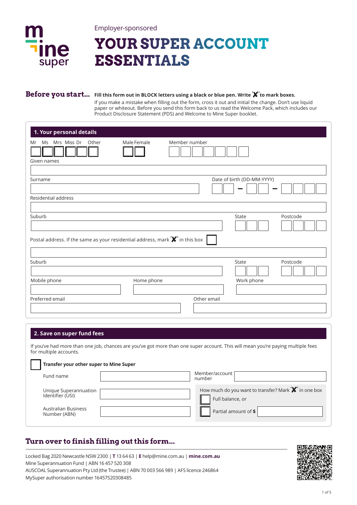

Employer-sponsored

# **YOUR SUPER ACCOUNT ESSENTIALS**

## **Before you start... Fill this form out in BLOCK letters using a black or blue pen. Write ' ' to mark boxes.**

If you make a mistake when filling out the form, cross it out and initial the change. Don't use liquid paper or whiteout. Before you send this form back to us read the Welcome Pack, which includes our Product Disclosure Statement (PDS) and Welcome to Mine Super booklet.

| 1. Your personal details                                                                                                                          |             |               |             |                            |          |
|---------------------------------------------------------------------------------------------------------------------------------------------------|-------------|---------------|-------------|----------------------------|----------|
| Mrs Miss Dr<br>Other<br>Ms<br>Mr                                                                                                                  | Male Female | Member number |             |                            |          |
| Given names                                                                                                                                       |             |               |             |                            |          |
| Surname                                                                                                                                           |             |               |             | Date of birth (DD-MM-YYYY) |          |
| Residential address                                                                                                                               |             |               |             |                            |          |
| Suburb<br>Postal address. If the same as your residential address, mark $\mathbf{\mathbf{\mathsf{X}}^{\prime}}$ in this box $\mathbf{\mathsf{I}}$ |             |               |             | State                      | Postcode |
| Suburb                                                                                                                                            |             |               |             | State                      | Postcode |
| Mobile phone                                                                                                                                      | Home phone  |               |             | Work phone                 |          |
|                                                                                                                                                   |             |               |             |                            |          |
| Preferred email                                                                                                                                   |             |               | Other email |                            |          |

## **2. Save on super fund fees**

If you've had more than one job, chances are you've got more than one super account. This will mean you're paying multiple fees for multiple accounts.

| Transfer your other super to Mine Super   |                                                                                |
|-------------------------------------------|--------------------------------------------------------------------------------|
| Fund name                                 | Member/account<br>number                                                       |
| Unique Superannuation<br>Identifier (USI) | How much do you want to transfer? Mark <b>X</b> in one box<br>Full balance, or |
| Australian Business<br>Number (ABN)       | Partial amount of \$                                                           |

# **Turn over to finish filling out this form...**

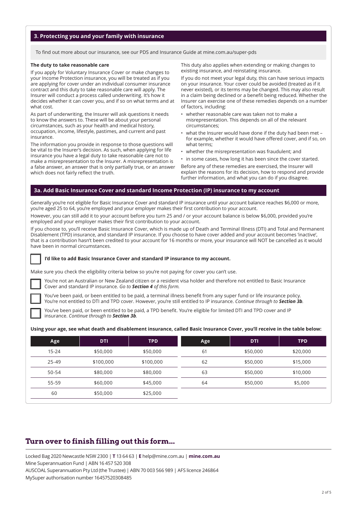#### **3. Protecting you and your family with insurance**

To find out more about our insurance, see our PDS and Insurance Guide at mine.com.au/super-pds

#### **The duty to take reasonable care**

If you apply for Voluntary Insurance Cover or make changes to your Income Protection insurance, you will be treated as if you are applying for cover under an individual consumer insurance contract and this duty to take reasonable care will apply. The Insurer will conduct a process called underwriting. It's how it decides whether it can cover you, and if so on what terms and at what cost.

As part of underwriting, the Insurer will ask questions it needs to know the answers to. These will be about your personal circumstances, such as your health and medical history, occupation, income, lifestyle, pastimes, and current and past insurance.

The information you provide in response to those questions will be vital to the Insurer's decision. As such, when applying for life insurance you have a legal duty to take reasonable care not to make a misrepresentation to the Insurer. A misrepresentation is a false answer, an answer that is only partially true, or an answer which does not fairly reflect the truth.

This duty also applies when extending or making changes to existing insurance, and reinstating insurance.

If you do not meet your legal duty, this can have serious impacts on your insurance. Your cover could be avoided (treated as if it never existed), or its terms may be changed. This may also result in a claim being declined or a benefit being reduced. Whether the Insurer can exercise one of these remedies depends on a number of factors, including:

- whether reasonable care was taken not to make a misrepresentation. This depends on all of the relevant circumstances;
- what the Insurer would have done if the duty had been met for example, whether it would have offered cover, and if so, on what terms;
- whether the misrepresentation was fraudulent; and
- in some cases, how long it has been since the cover started.

Before any of these remedies are exercised, the Insurer will explain the reasons for its decision, how to respond and provide further information, and what you can do if you disagree.

#### **3a. Add Basic Insurance Cover and standard Income Protection (IP) insurance to my account**

Generally you're not eligible for Basic Insurance Cover and standard IP insurance until your account balance reaches \$6,000 or more, you're aged 25 to 64, you're employed and your employer makes their first contribution to your account.

However, you can still add it to your account before you turn 25 and / or your account balance is below \$6,000, provided you're employed and your employer makes their first contribution to your account.

If you choose to, you'll receive Basic Insurance Cover, which is made up of Death and Terminal Illness (DTI) and Total and Permanent Disablement (TPD) insurance, and standard IP insurance. If you choose to have cover added and your account becomes 'inactive', that is a contribution hasn't been credited to your account for 16 months or more, your insurance will NOT be cancelled as it would have been in normal circumstances.

#### **I'd like to add Basic Insurance Cover and standard IP insurance to my account.**

Make sure you check the eligibility criteria below so you're not paying for cover you can't use.

 You're not an Australian or New Zealand citizen or a resident visa holder and therefore not entitled to Basic Insurance Cover and standard IP insurance. *Go to Section 4 of this form.*

 You've been paid, or been entitled to be paid, a terminal illness benefit from any super fund or life insurance policy. You're not entitled to DTI and TPD cover. However, you're still entitled to IP insurance. *Continue through to Section 3b.*

 You've been paid, or been entitled to be paid, a TPD benefit. You're eligible for limited DTI and TPD cover and IP insurance. *Continue through to Section 3b.*

#### **Using your age, see what death and disablement insurance, called Basic Insurance Cover, you'll receive in the table below:**

| Age       | <b>DTI</b> | <b>TPD</b> | Age | <b>DTI</b> | <b>TPD</b> |
|-----------|------------|------------|-----|------------|------------|
| $15 - 24$ | \$50,000   | \$50,000   | 61  | \$50,000   | \$20,000   |
| $25 - 49$ | \$100,000  | \$100,000  | 62  | \$50,000   | \$15,000   |
| 50-54     | \$80,000   | \$80,000   | 63  | \$50,000   | \$10,000   |
| 55-59     | \$60,000   | \$45,000   | 64  | \$50,000   | \$5,000    |
| 60        | \$50,000   | \$25,000   |     |            |            |

# **Turn over to finish filling out this form...**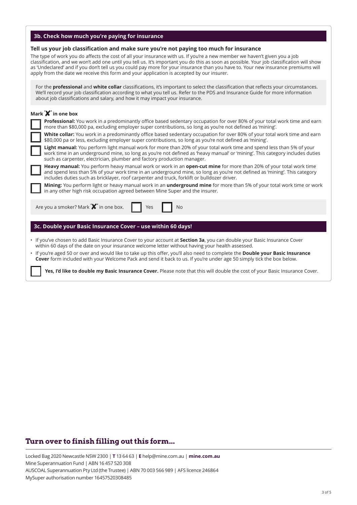| 3b. Check how much you're paying for insurance                                                                                                                                                                                                                                                                                                                                                                                                                                                                                                                                                     |
|----------------------------------------------------------------------------------------------------------------------------------------------------------------------------------------------------------------------------------------------------------------------------------------------------------------------------------------------------------------------------------------------------------------------------------------------------------------------------------------------------------------------------------------------------------------------------------------------------|
| Tell us your job classification and make sure you're not paying too much for insurance<br>The type of work you do affects the cost of all your insurance with us. If you're a new member we haven't given you a job<br>classification, and we won't add one until you tell us. It's important you do this as soon as possible. Your job classification will show<br>as 'Undeclared' and if you don't tell us you could pay more for your insurance than you have to. Your new insurance premiums will<br>apply from the date we receive this form and your application is accepted by our insurer. |
| For the professional and white collar classifications, it's important to select the classification that reflects your circumstances.<br>We'll record your job classification according to what you tell us. Refer to the PDS and Insurance Guide for more information<br>about job classifications and salary, and how it may impact your insurance.                                                                                                                                                                                                                                               |
| Mark $\mathbf{\mathsf{X}}'$ in one box                                                                                                                                                                                                                                                                                                                                                                                                                                                                                                                                                             |
| Professional: You work in a predominantly office based sedentary occupation for over 80% of your total work time and earn<br>more than \$80,000 pa, excluding employer super contributions, so long as you're not defined as 'mining'.                                                                                                                                                                                                                                                                                                                                                             |
| White collar: You work in a predominantly office based sedentary occupation for over 80% of your total work time and earn<br>\$80,000 pa or less, excluding employer super contributions, so long as you're not defined as 'mining'.                                                                                                                                                                                                                                                                                                                                                               |
| Light manual: You perform light manual work for more than 20% of your total work time and spend less than 5% of your<br>work time in an underground mine, so long as you're not defined as 'heavy manual' or 'mining'. This category includes duties<br>such as carpenter, electrician, plumber and factory production manager.                                                                                                                                                                                                                                                                    |
| Heavy manual: You perform heavy manual work or work in an open-cut mine for more than 20% of your total work time<br>and spend less than 5% of your work time in an underground mine, so long as you're not defined as 'mining'. This category<br>includes duties such as bricklayer, roof carpenter and truck, forklift or bulldozer driver.                                                                                                                                                                                                                                                      |
| Mining: You perform light or heavy manual work in an underground mine for more than 5% of your total work time or work<br>in any other high risk occupation agreed between Mine Super and the insurer.                                                                                                                                                                                                                                                                                                                                                                                             |
| Are you a smoker? Mark <b>X</b> in one box.<br>Yes<br><b>No</b>                                                                                                                                                                                                                                                                                                                                                                                                                                                                                                                                    |
| 3c. Double your Basic Insurance Cover - use within 60 days!                                                                                                                                                                                                                                                                                                                                                                                                                                                                                                                                        |
|                                                                                                                                                                                                                                                                                                                                                                                                                                                                                                                                                                                                    |
| . If you've chosen to add Basic Insurance Cover to your account at Section 3a, you can double your Basic Insurance Cover<br>within 60 days of the date on your insurance welcome letter without having your health assessed.                                                                                                                                                                                                                                                                                                                                                                       |
| . If you're aged 50 or over and would like to take up this offer, you'll also need to complete the Double your Basic Insurance<br>Cover form included with your Welcome Pack and send it back to us. If you're under age 50 simply tick the box below.                                                                                                                                                                                                                                                                                                                                             |
| Yes, I'd like to double my Basic Insurance Cover. Please note that this will double the cost of your Basic Insurance Cover.                                                                                                                                                                                                                                                                                                                                                                                                                                                                        |

# **Turn over to finish filling out this form...**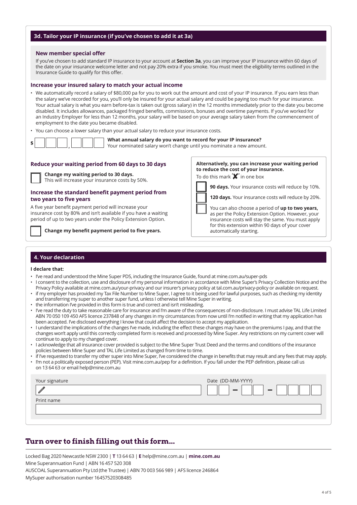#### **3d. Tailor your IP insurance (if you've chosen to add it at 3a)**

#### **New member special offer**

If you've chosen to add standard IP insurance to your account at **Section 3a**, you can improve your IP insurance within 60 days of the date on your insurance welcome letter and not pay 20% extra if you smoke. You must meet the eligibility terms outlined in the Insurance Guide to qualify for this offer.

#### **Increase your insured salary to match your actual income**

- We automatically record a salary of \$80,000 pa for you to work out the amount and cost of your IP insurance. If you earn less than the salary we've recorded for you, you'll only be insured for your actual salary and could be paying too much for your insurance. Your actual salary is what you earn before-tax is taken out (gross salary) in the 12 months immediately prior to the date you become disabled. It includes allowances, packaged fringed benefits, commissions, bonuses and overtime payments. If you've worked for an Industry Employer for less than 12 months, your salary will be based on your average salary taken from the commencement of employment to the date you became disabled.
- You can choose a lower salary than your actual salary to reduce your insurance costs.

| Tou can choose a lower salary than your actual salary to reuace your insurance costs.<br>What annual salary do you want to record for your IP insurance?<br>s | Your nominated salary won't change until you nominate a new amount.                        |
|---------------------------------------------------------------------------------------------------------------------------------------------------------------|--------------------------------------------------------------------------------------------|
| Reduce your waiting period from 60 days to 30 days                                                                                                            | Alternatively, you can increase your waiting period                                        |
| <b>Change my waiting period to 30 days.</b><br>This will increase your insurance costs by 50%.                                                                | to reduce the cost of your insurance.<br>To do this mark $\mathbf{\mathbf{X}}'$ in one box |

#### **Increase the standard benefit payment period from two years to five years**

A five year benefit payment period will increase your insurance cost by 80% and isn't available if you have a waiting period of up to two years under the Policy Extension Option.

**Change my benefit payment period to five years.**

**90 days.** Your insurance costs will reduce by 10%. **120 days.** Your insurance costs will reduce by 20%.

 You can also choose a period of **up to two years,**  as per the Policy Extension Option. However, your insurance costs will stay the same. You must apply for this extension within 90 days of your cover automatically starting.

#### **4. Your declaration**

#### **I declare that:**

- I've read and understood the Mine Super PDS, including the Insurance Guide, found at mine.com.au/super-pds
- I consent to the collection, use and disclosure of my personal information in accordance with Mine Super's Privacy Collection Notice and the Privacy Policy available at mine.com.au/your-privacy and our insurer's privacy policy at tal.com.au/privacy-policy or available on request. • if my employer has provided my Tax File Number to Mine Super, I agree to it being used for lawful purposes, such as checking my identity
- and transferring my super to another super fund, unless I otherwise tell Mine Super in writing. • the information I've provided in this form is true and correct and isn't misleading.
- 
- I've read the duty to take reasonable care for insurance and I'm aware of the consequences of non-disclosure. I must advise TAL Life Limited ABN 70 050 109 450 AFS licence 237848 of any changes in my circumstances from now until I'm notified in writing that my application has been accepted. I've disclosed everything I know that could affect the decision to accept my application.
- I understand the implications of the changes I've made, including the effect these changes may have on the premiums I pay, and that the changes won't apply until this correctly completed form is received and processed by Mine Super. Any restrictions on my current cover will continue to apply to my changed cover.
- I acknowledge that all insurance cover provided is subject to the Mine Super Trust Deed and the terms and conditions of the insurance policies between Mine Super and TAL Life Limited as changed from time to time.
- if I've requested to transfer my other super into Mine Super, I've considered the change in benefits that may result and any fees that may apply. • I'm not a politically exposed person (PEP). Visit mine.com.au/pep for a definition. If you fall under the PEP definition, please call us on 13 64 63 or email help@mine.com.au

| Your signature | Date (DD-MM-YYYY)             |
|----------------|-------------------------------|
|                | <b>COL</b><br><b>Contract</b> |
| Print name     |                               |
|                |                               |
|                |                               |

## **Turn over to finish filling out this form...**